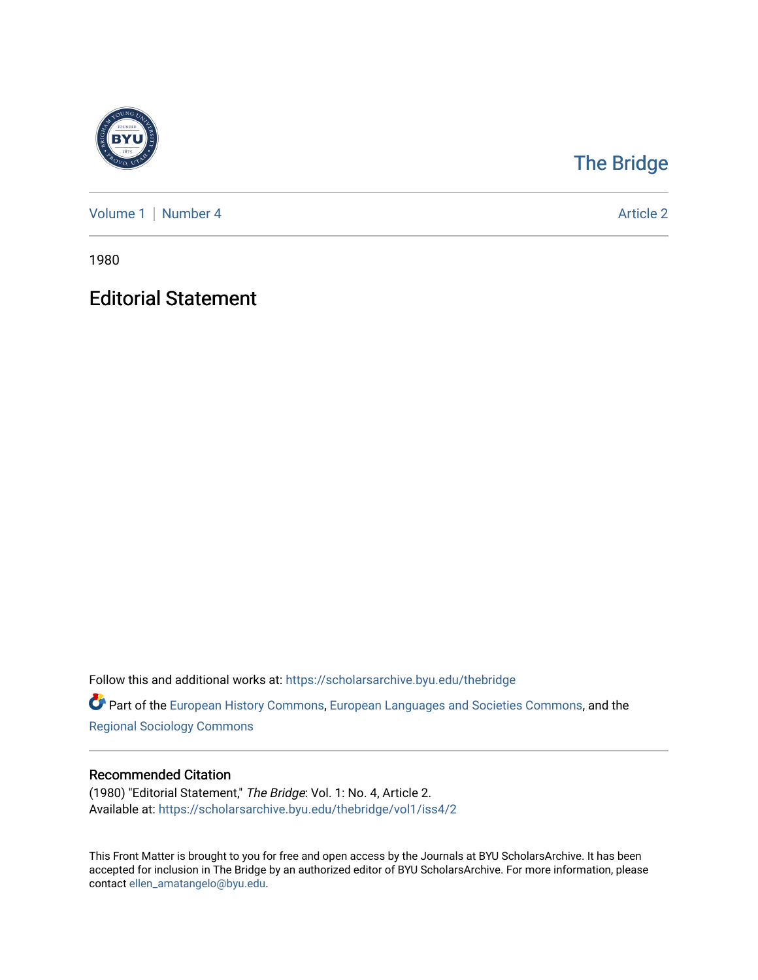

## [The Bridge](https://scholarsarchive.byu.edu/thebridge)

[Volume 1](https://scholarsarchive.byu.edu/thebridge/vol1) | [Number 4](https://scholarsarchive.byu.edu/thebridge/vol1/iss4) Article 2

1980

## Editorial Statement

Follow this and additional works at: [https://scholarsarchive.byu.edu/thebridge](https://scholarsarchive.byu.edu/thebridge?utm_source=scholarsarchive.byu.edu%2Fthebridge%2Fvol1%2Fiss4%2F2&utm_medium=PDF&utm_campaign=PDFCoverPages) 

**Part of the [European History Commons](http://network.bepress.com/hgg/discipline/492?utm_source=scholarsarchive.byu.edu%2Fthebridge%2Fvol1%2Fiss4%2F2&utm_medium=PDF&utm_campaign=PDFCoverPages), [European Languages and Societies Commons,](http://network.bepress.com/hgg/discipline/482?utm_source=scholarsarchive.byu.edu%2Fthebridge%2Fvol1%2Fiss4%2F2&utm_medium=PDF&utm_campaign=PDFCoverPages) and the** [Regional Sociology Commons](http://network.bepress.com/hgg/discipline/427?utm_source=scholarsarchive.byu.edu%2Fthebridge%2Fvol1%2Fiss4%2F2&utm_medium=PDF&utm_campaign=PDFCoverPages) 

## Recommended Citation

(1980) "Editorial Statement," The Bridge: Vol. 1: No. 4, Article 2. Available at: [https://scholarsarchive.byu.edu/thebridge/vol1/iss4/2](https://scholarsarchive.byu.edu/thebridge/vol1/iss4/2?utm_source=scholarsarchive.byu.edu%2Fthebridge%2Fvol1%2Fiss4%2F2&utm_medium=PDF&utm_campaign=PDFCoverPages)

This Front Matter is brought to you for free and open access by the Journals at BYU ScholarsArchive. It has been accepted for inclusion in The Bridge by an authorized editor of BYU ScholarsArchive. For more information, please contact [ellen\\_amatangelo@byu.edu.](mailto:ellen_amatangelo@byu.edu)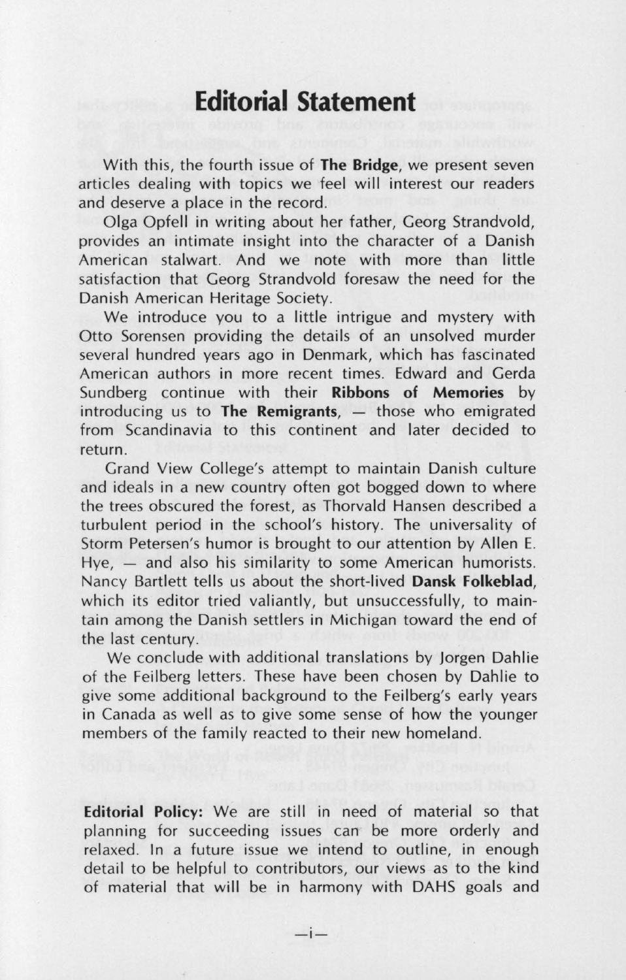## **Editorial Statement**

With this, the fourth issue of **The Bridge,** we present seven articles dealing with topics we feel will interest our readers and deserve a place in the record.

Olga Opfell in writing about her father, Georg Strandvold, provides an intimate insight into the character of a Danish American stalwart. And we note with more than little satisfaction that Georg Strandvold foresaw the need for the Danish American Heritage Society.

We introduce you to a little intrigue and mystery with Otto Sorensen providing the details of an unsolved murder several hundred years ago in Denmark, which has fascinated American authors in more recent times. Edward and Gerda Sundberg continue with their **Ribbons of Memories** by introducing us to **The Remigrants**, - those who emigrated from Scandinavia to this continent and later decided to return.

Grand View College's attempt to maintain Danish culture and ideals in a new country often got bogged down to where the trees obscured the forest, as Thorvald Hansen described a turbulent period in the school's history. The universality of Storm Petersen's humor is brought to our attention by Allen E.  $Hye$ ,  $-$  and also his similarity to some American humorists. Nancy Bartlett tells us about the short-lived **Dansk Folkeblad,**  which its editor tried valiantly, but unsuccessfully, to maintain among the Danish settlers in Michigan toward the end of the last century.

We conclude with additional translations by Jorgen Dahlie of the Feilberg letters. These have been chosen by Dahlie to give some additional background to the Feilberg's early years in Canada as well as to give some sense of how the younger members of the family reacted to their new homeland.

**Editorial Policy:** We are still in need of material so that planning for succeeding issues can be more orderly and relaxed. In a future issue we intend to outline, in enough detail to be helpful to contributors, our views as to the kind of material that will be in harmony with DAHS goals and

 $-i-$